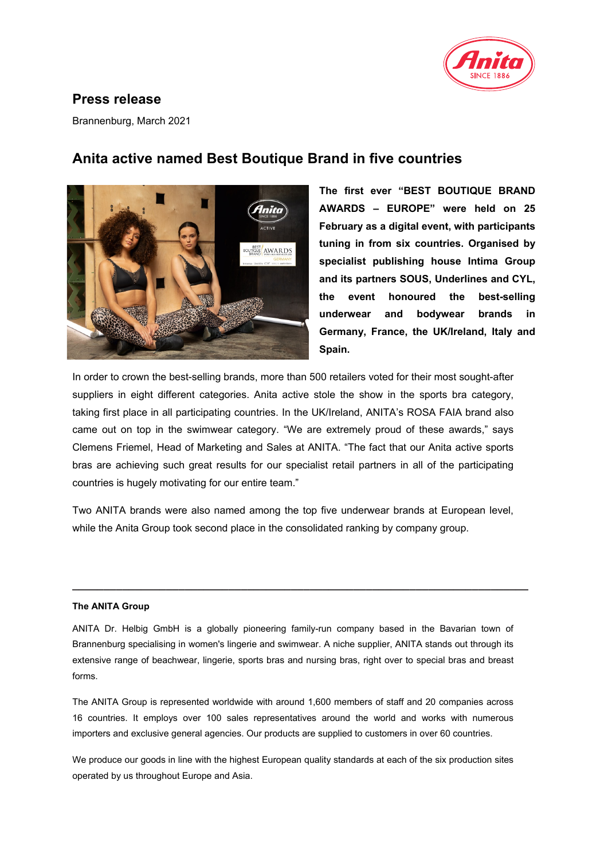

## **Press release**

Brannenburg, March 2021



# **Anita active named Best Boutique Brand in five countries**

**The first ever "BEST BOUTIQUE BRAND AWARDS – EUROPE" were held on 25 February as a digital event, with participants tuning in from six countries. Organised by specialist publishing house Intima Group and its partners SOUS, Underlines and CYL, the event honoured the best-selling underwear and bodywear brands in Germany, France, the UK/Ireland, Italy and Spain.** 

In order to crown the best-selling brands, more than 500 retailers voted for their most sought-after suppliers in eight different categories. Anita active stole the show in the sports bra category, taking first place in all participating countries. In the UK/Ireland, ANITA's ROSA FAIA brand also came out on top in the swimwear category. "We are extremely proud of these awards," says Clemens Friemel, Head of Marketing and Sales at ANITA. "The fact that our Anita active sports bras are achieving such great results for our specialist retail partners in all of the participating countries is hugely motivating for our entire team."

Two ANITA brands were also named among the top five underwear brands at European level, while the Anita Group took second place in the consolidated ranking by company group.

### **The ANITA Group**

ANITA Dr. Helbig GmbH is a globally pioneering family-run company based in the Bavarian town of Brannenburg specialising in women's lingerie and swimwear. A niche supplier, ANITA stands out through its extensive range of beachwear, lingerie, sports bras and nursing bras, right over to special bras and breast forms.

**\_\_\_\_\_\_\_\_\_\_\_\_\_\_\_\_\_\_\_\_\_\_\_\_\_\_\_\_\_\_\_\_\_\_\_\_\_\_\_\_\_\_\_\_\_\_\_\_\_\_\_\_\_\_\_\_\_\_\_\_\_\_\_\_\_\_\_\_\_\_\_\_\_**

The ANITA Group is represented worldwide with around 1,600 members of staff and 20 companies across 16 countries. It employs over 100 sales representatives around the world and works with numerous importers and exclusive general agencies. Our products are supplied to customers in over 60 countries.

We produce our goods in line with the highest European quality standards at each of the six production sites operated by us throughout Europe and Asia.